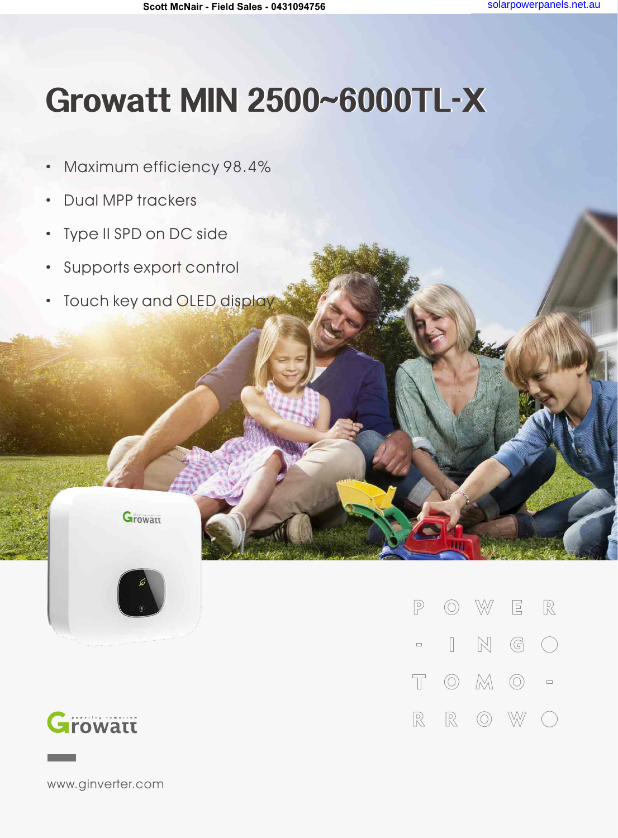## Growatt MIN 2500~6000TL-X

- · Maximum efficiency 98.4%
- · Dual MPP trackers
- · Type II SPD on DC side
- · Supports export control
- · Touch key and OLED display

**Growatt** 





www.ginverter.com